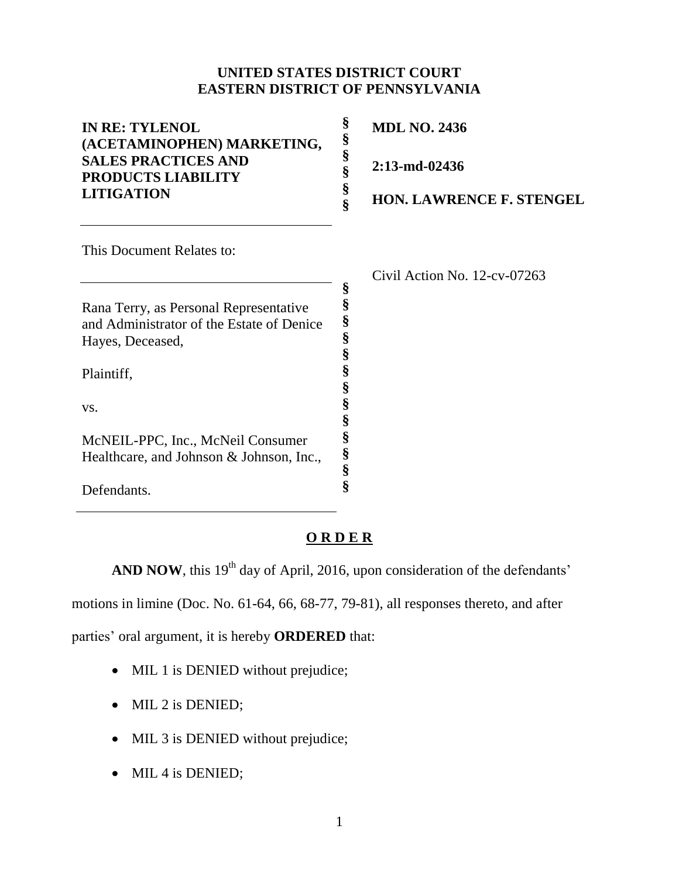## **UNITED STATES DISTRICT COURT EASTERN DISTRICT OF PENNSYLVANIA**

| <b>IN RE: TYLENOL</b><br>(ACETAMINOPHEN) MARKETING,<br><b>SALES PRACTICES AND</b><br><b>PRODUCTS LIABILITY</b><br><b>LITIGATION</b> | §<br>§ | <b>MDL NO. 2436</b>             |
|-------------------------------------------------------------------------------------------------------------------------------------|--------|---------------------------------|
|                                                                                                                                     | §<br>§ | $2:13$ -md-02436                |
|                                                                                                                                     | §      | <b>HON. LAWRENCE F. STENGEL</b> |
| This Document Relates to:                                                                                                           |        |                                 |
|                                                                                                                                     |        | Civil Action No. $12$ -cv-07263 |
| Rana Terry, as Personal Representative                                                                                              | §      |                                 |
| and Administrator of the Estate of Denice<br>Hayes, Deceased,                                                                       | §<br>§ |                                 |
| Plaintiff,                                                                                                                          | §      |                                 |
| VS.                                                                                                                                 | §      |                                 |

## **O R D E R**

**§ § § § §**

AND NOW, this 19<sup>th</sup> day of April, 2016, upon consideration of the defendants'

motions in limine (Doc. No. 61-64, 66, 68-77, 79-81), all responses thereto, and after

parties' oral argument, it is hereby **ORDERED** that:

McNEIL-PPC, Inc., McNeil Consumer Healthcare, and Johnson & Johnson, Inc.,

Defendants.

- MIL 1 is DENIED without prejudice;
- MIL 2 is DENIED;
- MIL 3 is DENIED without prejudice;
- MIL 4 is DENIED;